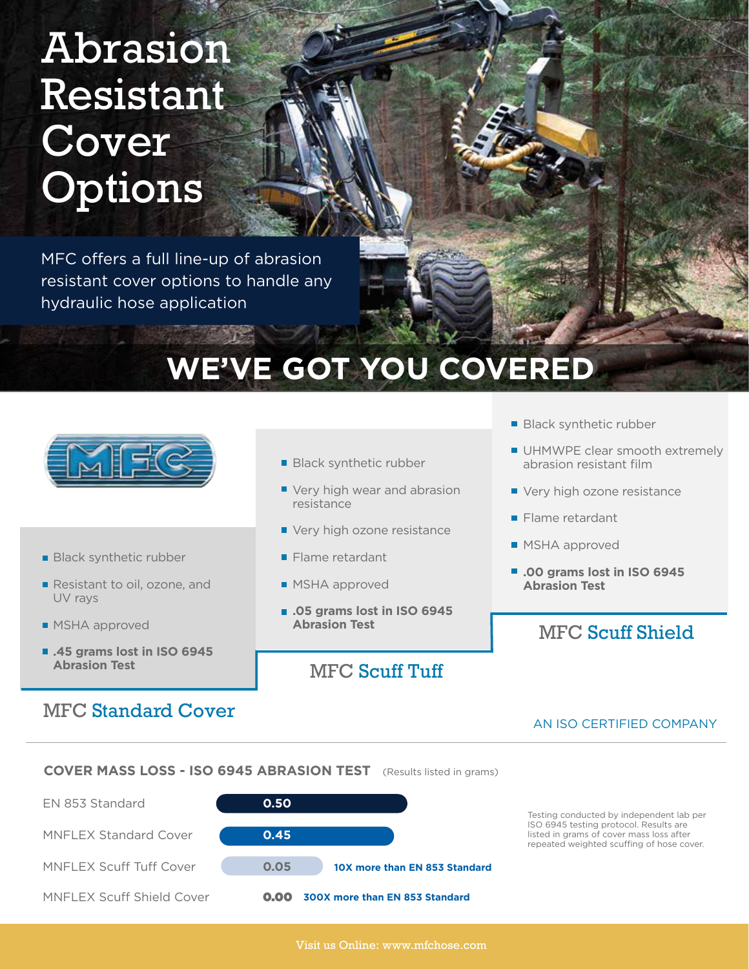# Abrasion Resistant Cover **Options**

MFC offers a full line-up of abrasion resistant cover options to handle any hydraulic hose application

## **WE'VE GOT YOU COVERED**



- **Black synthetic rubber**
- Resistant to oil, ozone, and UV rays
- **MSHA** approved
- **.45 grams lost in ISO 6945 Abrasion Test**

## MFC Standard Cover

- **Black synthetic rubber**
- Very high wear and abrasion resistance
- Very high ozone resistance
- **Flame retardant**
- **MSHA** approved
- **.05 grams lost in ISO 6945 Abrasion Test**

## MFC Scuff Tuff

- **Black synthetic rubber**
- UHMWPE clear smooth extremely abrasion resistant film
- Very high ozone resistance
- **Flame retardant**
- **MSHA** approved
- .00 grams lost in ISO 6945 **Abrasion Test**

## MFC Scuff Shield

#### AN ISO CERTIFIED COMPANY

**COVER MASS LOSS - ISO 6945 ABRASION TEST** (Results listed in grams)



Testing conducted by independent lab per ISO 6945 testing protocol. Results are listed in grams of cover mass loss after repeated weighted scuffing of hose cover.